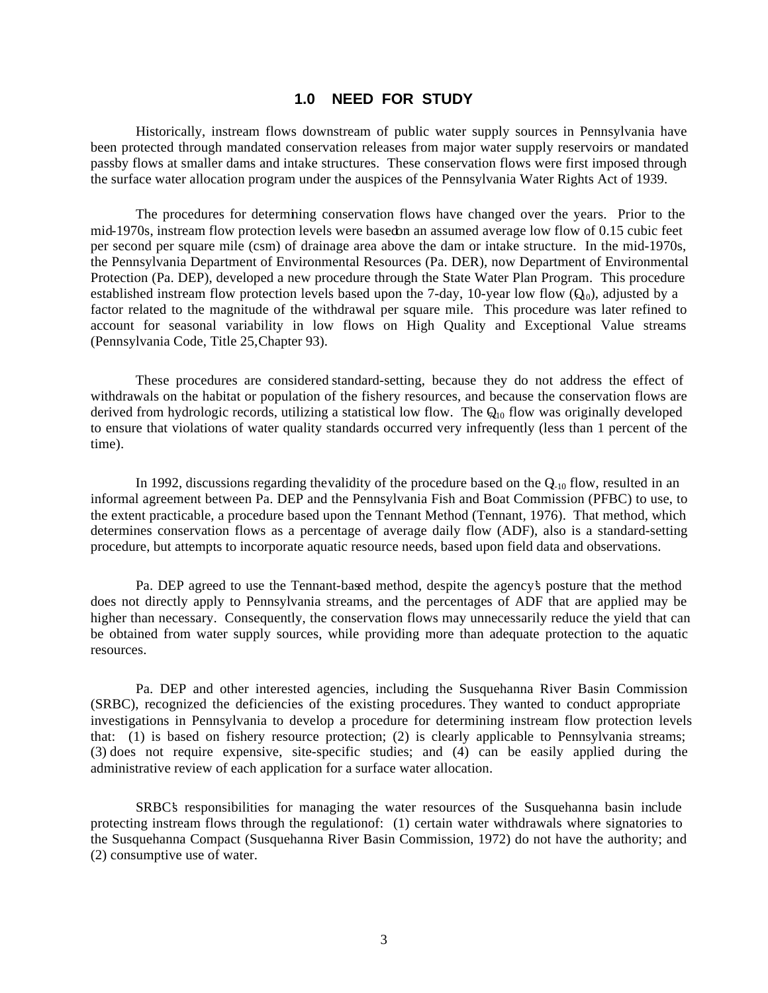# **1.0 NEED FOR STUDY**

Historically, instream flows downstream of public water supply sources in Pennsylvania have been protected through mandated conservation releases from major water supply reservoirs or mandated passby flows at smaller dams and intake structures. These conservation flows were first imposed through the surface water allocation program under the auspices of the Pennsylvania Water Rights Act of 1939.

The procedures for determining conservation flows have changed over the years. Prior to the mid-1970s, instream flow protection levels were based on an assumed average low flow of 0.15 cubic feet per second per square mile (csm) of drainage area above the dam or intake structure. In the mid-1970s, the Pennsylvania Department of Environmental Resources (Pa. DER), now Department of Environmental Protection (Pa. DEP), developed a new procedure through the State Water Plan Program. This procedure established instream flow protection levels based upon the 7-day, 10-year low flow  $(Q_0)$ , adjusted by a factor related to the magnitude of the withdrawal per square mile. This procedure was later refined to account for seasonal variability in low flows on High Quality and Exceptional Value streams (Pennsylvania Code, Title 25, Chapter 93).

These procedures are considered standard-setting, because they do not address the effect of withdrawals on the habitat or population of the fishery resources, and because the conservation flows are derived from hydrologic records, utilizing a statistical low flow. The  $Q_{10}$  flow was originally developed to ensure that violations of water quality standards occurred very infrequently (less than 1 percent of the time).

In 1992, discussions regarding the validity of the procedure based on the  $Q<sub>-10</sub>$  flow, resulted in an informal agreement between Pa. DEP and the Pennsylvania Fish and Boat Commission (PFBC) to use, to the extent practicable, a procedure based upon the Tennant Method (Tennant, 1976). That method, which determines conservation flows as a percentage of average daily flow (ADF), also is a standard-setting procedure, but attempts to incorporate aquatic resource needs, based upon field data and observations.

Pa. DEP agreed to use the Tennant-based method, despite the agency's posture that the method does not directly apply to Pennsylvania streams, and the percentages of ADF that are applied may be higher than necessary. Consequently, the conservation flows may unnecessarily reduce the yield that can be obtained from water supply sources, while providing more than adequate protection to the aquatic resources.

Pa. DEP and other interested agencies, including the Susquehanna River Basin Commission (SRBC), recognized the deficiencies of the existing procedures. They wanted to conduct appropriate investigations in Pennsylvania to develop a procedure for determining instream flow protection levels that: (1) is based on fishery resource protection; (2) is clearly applicable to Pennsylvania streams; (3) does not require expensive, site-specific studies; and (4) can be easily applied during the administrative review of each application for a surface water allocation.

SRBC's responsibilities for managing the water resources of the Susquehanna basin include protecting instream flows through the regulation of: (1) certain water withdrawals where signatories to the Susquehanna Compact (Susquehanna River Basin Commission, 1972) do not have the authority; and (2) consumptive use of water.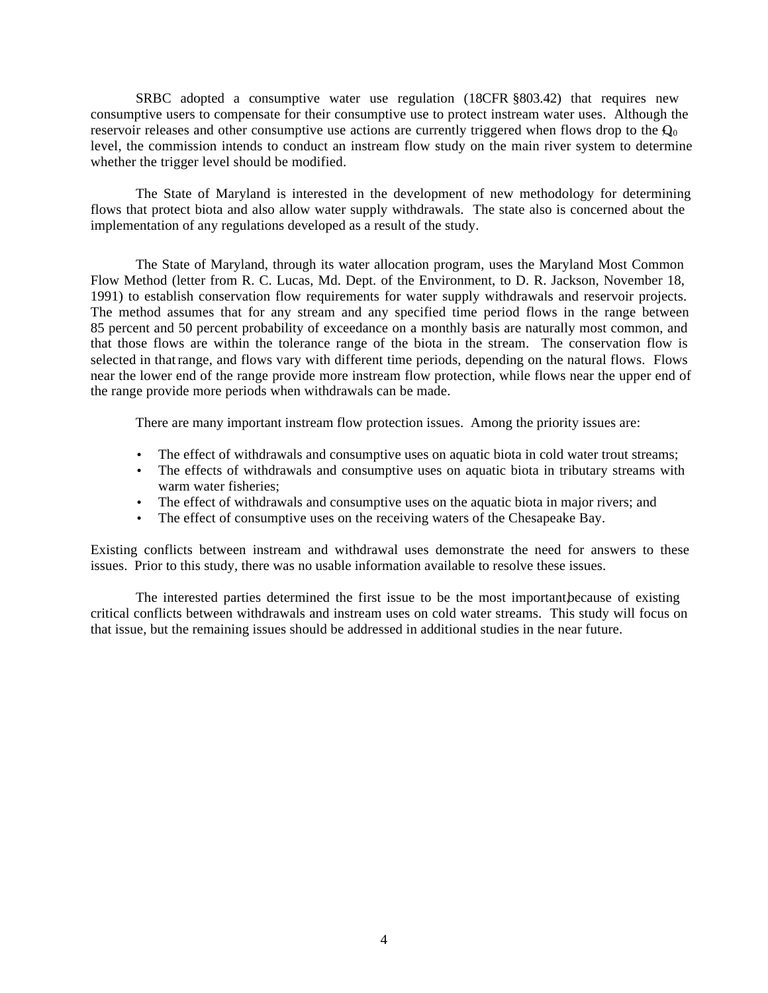SRBC adopted a consumptive water use regulation (18CFR §803.42) that requires new consumptive users to compensate for their consumptive use to protect instream water uses. Although the reservoir releases and other consumptive use actions are currently triggered when flows drop to the  $Q_0$ level, the commission intends to conduct an instream flow study on the main river system to determine whether the trigger level should be modified.

The State of Maryland is interested in the development of new methodology for determining flows that protect biota and also allow water supply withdrawals. The state also is concerned about the implementation of any regulations developed as a result of the study.

The State of Maryland, through its water allocation program, uses the Maryland Most Common Flow Method (letter from R. C. Lucas, Md. Dept. of the Environment, to D. R. Jackson, November 18, 1991) to establish conservation flow requirements for water supply withdrawals and reservoir projects. The method assumes that for any stream and any specified time period flows in the range between 85 percent and 50 percent probability of exceedance on a monthly basis are naturally most common, and that those flows are within the tolerance range of the biota in the stream. The conservation flow is selected in that range, and flows vary with different time periods, depending on the natural flows. Flows near the lower end of the range provide more instream flow protection, while flows near the upper end of the range provide more periods when withdrawals can be made.

There are many important instream flow protection issues. Among the priority issues are:

- The effect of withdrawals and consumptive uses on aquatic biota in cold water trout streams;
- The effects of withdrawals and consumptive uses on aquatic biota in tributary streams with warm water fisheries;
- The effect of withdrawals and consumptive uses on the aquatic biota in major rivers; and
- The effect of consumptive uses on the receiving waters of the Chesapeake Bay.

Existing conflicts between instream and withdrawal uses demonstrate the need for answers to these issues. Prior to this study, there was no usable information available to resolve these issues.

The interested parties determined the first issue to be the most important because of existing critical conflicts between withdrawals and instream uses on cold water streams. This study will focus on that issue, but the remaining issues should be addressed in additional studies in the near future.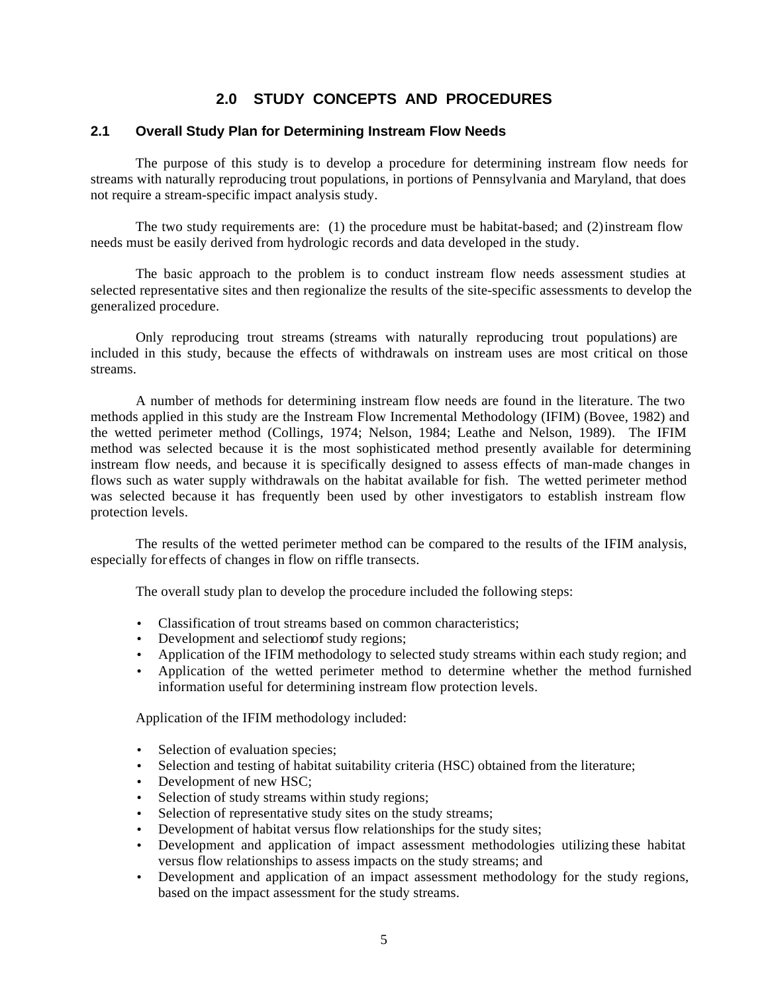# **2.0 STUDY CONCEPTS AND PROCEDURES**

# **2.1 Overall Study Plan for Determining Instream Flow Needs**

The purpose of this study is to develop a procedure for determining instream flow needs for streams with naturally reproducing trout populations, in portions of Pennsylvania and Maryland, that does not require a stream-specific impact analysis study.

The two study requirements are: (1) the procedure must be habitat-based; and (2) instream flow needs must be easily derived from hydrologic records and data developed in the study.

The basic approach to the problem is to conduct instream flow needs assessment studies at selected representative sites and then regionalize the results of the site-specific assessments to develop the generalized procedure.

Only reproducing trout streams (streams with naturally reproducing trout populations) are included in this study, because the effects of withdrawals on instream uses are most critical on those streams.

A number of methods for determining instream flow needs are found in the literature. The two methods applied in this study are the Instream Flow Incremental Methodology (IFIM) (Bovee, 1982) and the wetted perimeter method (Collings, 1974; Nelson, 1984; Leathe and Nelson, 1989). The IFIM method was selected because it is the most sophisticated method presently available for determining instream flow needs, and because it is specifically designed to assess effects of man-made changes in flows such as water supply withdrawals on the habitat available for fish. The wetted perimeter method was selected because it has frequently been used by other investigators to establish instream flow protection levels.

The results of the wetted perimeter method can be compared to the results of the IFIM analysis, especially for effects of changes in flow on riffle transects.

The overall study plan to develop the procedure included the following steps:

- Classification of trout streams based on common characteristics;
- Development and selection of study regions;
- Application of the IFIM methodology to selected study streams within each study region; and
- Application of the wetted perimeter method to determine whether the method furnished information useful for determining instream flow protection levels.

Application of the IFIM methodology included:

- Selection of evaluation species;
- Selection and testing of habitat suitability criteria (HSC) obtained from the literature;
- Development of new HSC;
- Selection of study streams within study regions;
- Selection of representative study sites on the study streams;
- Development of habitat versus flow relationships for the study sites;
- Development and application of impact assessment methodologies utilizing these habitat versus flow relationships to assess impacts on the study streams; and
- Development and application of an impact assessment methodology for the study regions, based on the impact assessment for the study streams.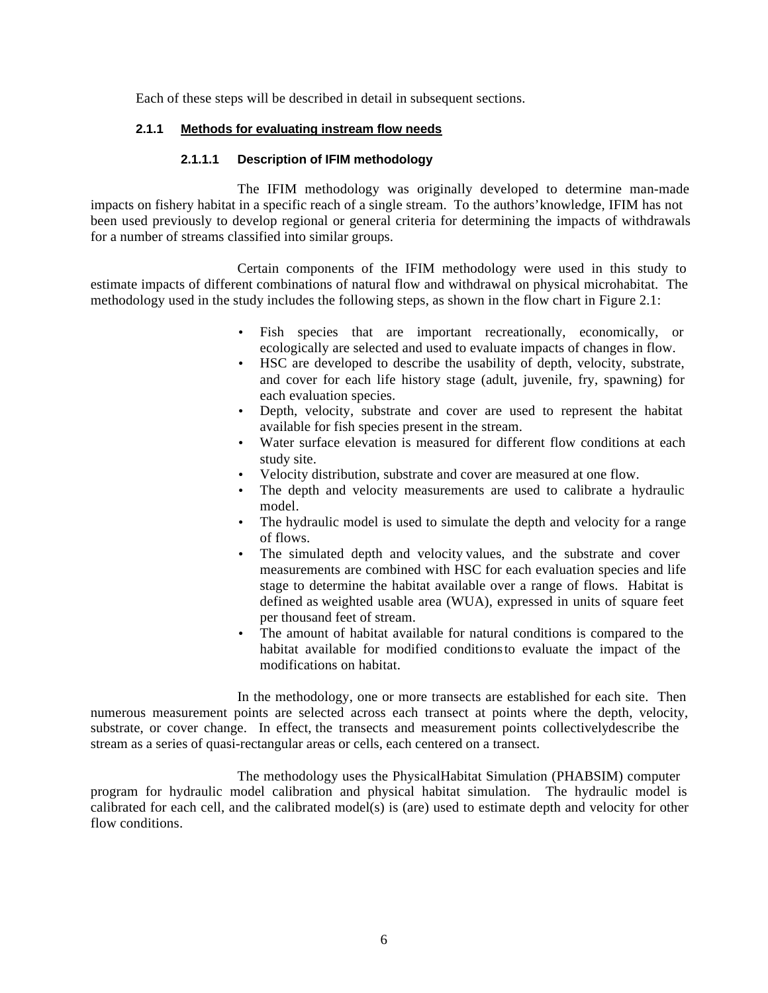Each of these steps will be described in detail in subsequent sections.

# **2.1.1 Methods for evaluating instream flow needs**

#### **2.1.1.1 Description of IFIM methodology**

The IFIM methodology was originally developed to determine man-made impacts on fishery habitat in a specific reach of a single stream. To the authors' knowledge, IFIM has not been used previously to develop regional or general criteria for determining the impacts of withdrawals for a number of streams classified into similar groups.

Certain components of the IFIM methodology were used in this study to estimate impacts of different combinations of natural flow and withdrawal on physical microhabitat. The methodology used in the study includes the following steps, as shown in the flow chart in Figure 2.1:

- Fish species that are important recreationally, economically, or ecologically are selected and used to evaluate impacts of changes in flow.
- HSC are developed to describe the usability of depth, velocity, substrate, and cover for each life history stage (adult, juvenile, fry, spawning) for each evaluation species.
- Depth, velocity, substrate and cover are used to represent the habitat available for fish species present in the stream.
- Water surface elevation is measured for different flow conditions at each study site.
- Velocity distribution, substrate and cover are measured at one flow.
- The depth and velocity measurements are used to calibrate a hydraulic model.
- The hydraulic model is used to simulate the depth and velocity for a range of flows.
- The simulated depth and velocity values, and the substrate and cover measurements are combined with HSC for each evaluation species and life stage to determine the habitat available over a range of flows. Habitat is defined as weighted usable area (WUA), expressed in units of square feet per thousand feet of stream.
- The amount of habitat available for natural conditions is compared to the habitat available for modified conditionsto evaluate the impact of the modifications on habitat.

In the methodology, one or more transects are established for each site. Then numerous measurement points are selected across each transect at points where the depth, velocity, substrate, or cover change. In effect, the transects and measurement points collectivelydescribe the stream as a series of quasi-rectangular areas or cells, each centered on a transect.

The methodology uses the Physical Habitat Simulation (PHABSIM) computer program for hydraulic model calibration and physical habitat simulation. The hydraulic model is calibrated for each cell, and the calibrated model(s) is (are) used to estimate depth and velocity for other flow conditions.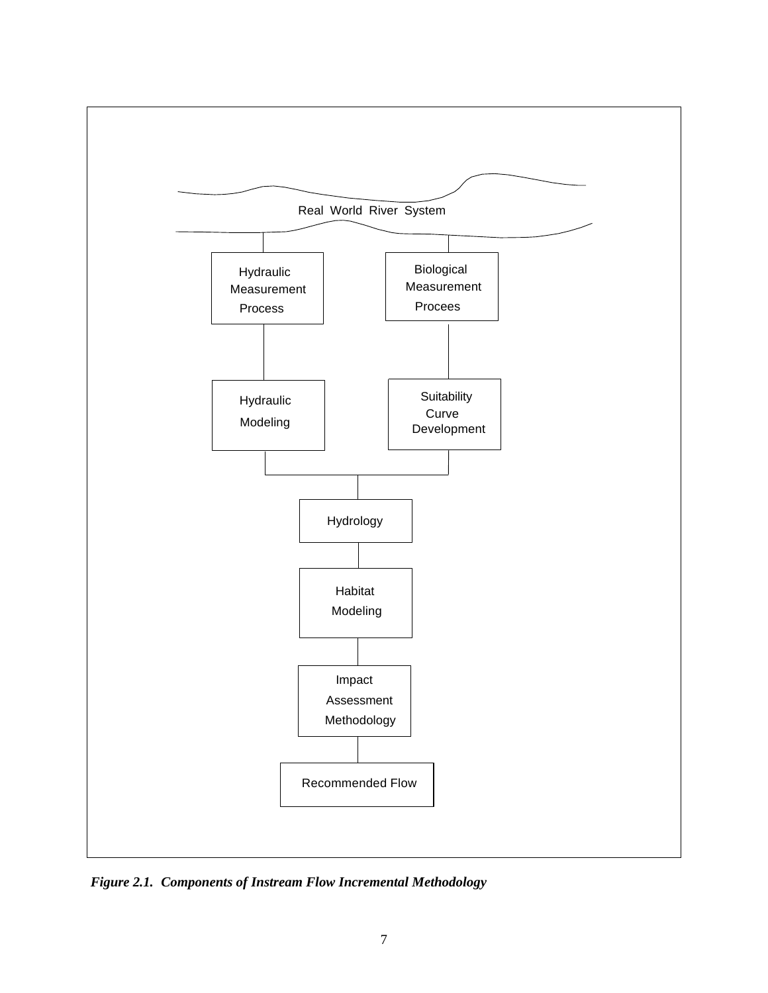

*Figure 2.1. Components of Instream Flow Incremental Methodology*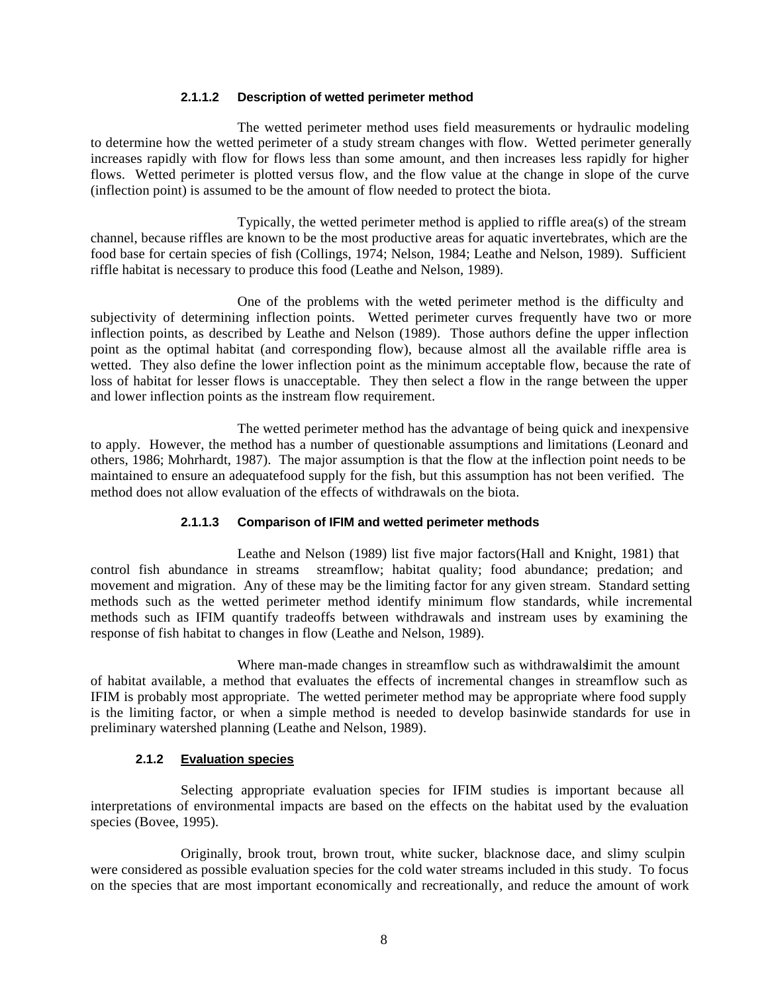#### **2.1.1.2 Description of wetted perimeter method**

The wetted perimeter method uses field measurements or hydraulic modeling to determine how the wetted perimeter of a study stream changes with flow. Wetted perimeter generally increases rapidly with flow for flows less than some amount, and then increases less rapidly for higher flows. Wetted perimeter is plotted versus flow, and the flow value at the change in slope of the curve (inflection point) is assumed to be the amount of flow needed to protect the biota.

Typically, the wetted perimeter method is applied to riffle area(s) of the stream channel, because riffles are known to be the most productive areas for aquatic invertebrates, which are the food base for certain species of fish (Collings, 1974; Nelson, 1984; Leathe and Nelson, 1989). Sufficient riffle habitat is necessary to produce this food (Leathe and Nelson, 1989).

One of the problems with the wetted perimeter method is the difficulty and subjectivity of determining inflection points. Wetted perimeter curves frequently have two or more inflection points, as described by Leathe and Nelson (1989). Those authors define the upper inflection point as the optimal habitat (and corresponding flow), because almost all the available riffle area is wetted. They also define the lower inflection point as the minimum acceptable flow, because the rate of loss of habitat for lesser flows is unacceptable. They then select a flow in the range between the upper and lower inflection points as the instream flow requirement.

The wetted perimeter method has the advantage of being quick and inexpensive to apply. However, the method has a number of questionable assumptions and limitations (Leonard and others, 1986; Mohrhardt, 1987). The major assumption is that the flow at the inflection point needs to be maintained to ensure an adequatefood supply for the fish, but this assumption has not been verified. The method does not allow evaluation of the effects of withdrawals on the biota.

# **2.1.1.3 Comparison of IFIM and wetted perimeter methods**

Leathe and Nelson (1989) list five major factors(Hall and Knight, 1981) that control fish abundance in streams streamflow; habitat quality; food abundance; predation; and movement and migration. Any of these may be the limiting factor for any given stream. Standard setting methods such as the wetted perimeter method identify minimum flow standards, while incremental methods such as IFIM quantify tradeoffs between withdrawals and instream uses by examining the response of fish habitat to changes in flow (Leathe and Nelson, 1989).

Where man-made changes in streamflow such as withdrawalslimit the amount of habitat available, a method that evaluates the effects of incremental changes in streamflow such as IFIM is probably most appropriate. The wetted perimeter method may be appropriate where food supply is the limiting factor, or when a simple method is needed to develop basinwide standards for use in preliminary watershed planning (Leathe and Nelson, 1989).

# **2.1.2 Evaluation species**

Selecting appropriate evaluation species for IFIM studies is important because all interpretations of environmental impacts are based on the effects on the habitat used by the evaluation species (Bovee, 1995).

Originally, brook trout, brown trout, white sucker, blacknose dace, and slimy sculpin were considered as possible evaluation species for the cold water streams included in this study. To focus on the species that are most important economically and recreationally, and reduce the amount of work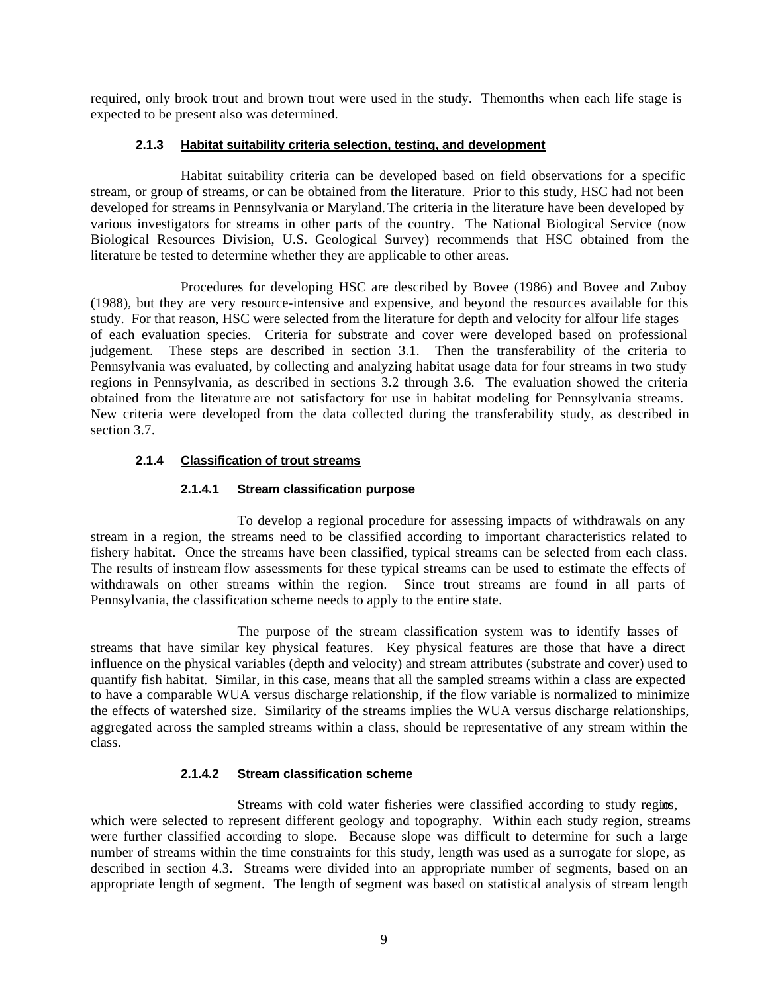required, only brook trout and brown trout were used in the study. The months when each life stage is expected to be present also was determined.

# **2.1.3 Habitat suitability criteria selection, testing, and development**

Habitat suitability criteria can be developed based on field observations for a specific stream, or group of streams, or can be obtained from the literature. Prior to this study, HSC had not been developed for streams in Pennsylvania or Maryland. The criteria in the literature have been developed by various investigators for streams in other parts of the country. The National Biological Service (now Biological Resources Division, U.S. Geological Survey) recommends that HSC obtained from the literature be tested to determine whether they are applicable to other areas.

Procedures for developing HSC are described by Bovee (1986) and Bovee and Zuboy (1988), but they are very resource-intensive and expensive, and beyond the resources available for this study. For that reason, HSC were selected from the literature for depth and velocity for alfour life stages of each evaluation species. Criteria for substrate and cover were developed based on professional judgement. These steps are described in section 3.1. Then the transferability of the criteria to Pennsylvania was evaluated, by collecting and analyzing habitat usage data for four streams in two study regions in Pennsylvania, as described in sections 3.2 through 3.6. The evaluation showed the criteria obtained from the literature are not satisfactory for use in habitat modeling for Pennsylvania streams. New criteria were developed from the data collected during the transferability study, as described in section 3.7.

# **2.1.4 Classification of trout streams**

#### **2.1.4.1 Stream classification purpose**

To develop a regional procedure for assessing impacts of withdrawals on any stream in a region, the streams need to be classified according to important characteristics related to fishery habitat. Once the streams have been classified, typical streams can be selected from each class. The results of instream flow assessments for these typical streams can be used to estimate the effects of withdrawals on other streams within the region. Since trout streams are found in all parts of Pennsylvania, the classification scheme needs to apply to the entire state.

The purpose of the stream classification system was to identify basses of streams that have similar key physical features. Key physical features are those that have a direct influence on the physical variables (depth and velocity) and stream attributes (substrate and cover) used to quantify fish habitat. Similar, in this case, means that all the sampled streams within a class are expected to have a comparable WUA versus discharge relationship, if the flow variable is normalized to minimize the effects of watershed size. Similarity of the streams implies the WUA versus discharge relationships, aggregated across the sampled streams within a class, should be representative of any stream within the class.

# **2.1.4.2 Stream classification scheme**

Streams with cold water fisheries were classified according to study regions, which were selected to represent different geology and topography. Within each study region, streams were further classified according to slope. Because slope was difficult to determine for such a large number of streams within the time constraints for this study, length was used as a surrogate for slope, as described in section 4.3. Streams were divided into an appropriate number of segments, based on an appropriate length of segment. The length of segment was based on statistical analysis of stream length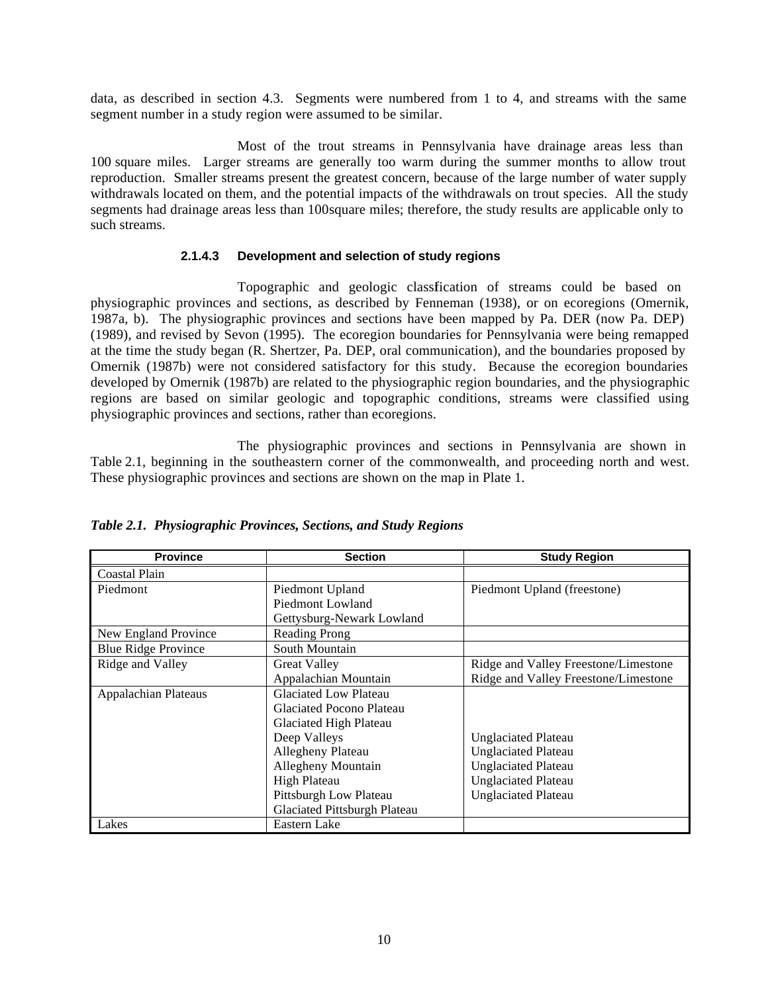data, as described in section 4.3. Segments were numbered from 1 to 4, and streams with the same segment number in a study region were assumed to be similar.

Most of the trout streams in Pennsylvania have drainage areas less than 100 square miles. Larger streams are generally too warm during the summer months to allow trout reproduction. Smaller streams present the greatest concern, because of the large number of water supply withdrawals located on them, and the potential impacts of the withdrawals on trout species. All the study segments had drainage areas less than 100 square miles; therefore, the study results are applicable only to such streams.

#### **2.1.4.3 Development and selection of study regions**

Topographic and geologic classification of streams could be based on physiographic provinces and sections, as described by Fenneman (1938), or on ecoregions (Omernik, 1987a, b). The physiographic provinces and sections have been mapped by Pa. DER (now Pa. DEP) (1989), and revised by Sevon (1995). The ecoregion boundaries for Pennsylvania were being remapped at the time the study began (R. Shertzer, Pa. DEP, oral communication), and the boundaries proposed by Omernik (1987b) were not considered satisfactory for this study. Because the ecoregion boundaries developed by Omernik (1987b) are related to the physiographic region boundaries, and the physiographic regions are based on similar geologic and topographic conditions, streams were classified using physiographic provinces and sections, rather than ecoregions.

The physiographic provinces and sections in Pennsylvania are shown in Table 2.1, beginning in the southeastern corner of the commonwealth, and proceeding north and west. These physiographic provinces and sections are shown on the map in Plate 1.

| <b>Province</b>             | <b>Section</b>                  | <b>Study Region</b>                  |
|-----------------------------|---------------------------------|--------------------------------------|
| Coastal Plain               |                                 |                                      |
| Piedmont                    | Piedmont Upland                 | Piedmont Upland (freestone)          |
|                             | Piedmont Lowland                |                                      |
|                             | Gettysburg-Newark Lowland       |                                      |
| New England Province        | <b>Reading Prong</b>            |                                      |
| <b>Blue Ridge Province</b>  | South Mountain                  |                                      |
| Ridge and Valley            | <b>Great Valley</b>             | Ridge and Valley Freestone/Limestone |
|                             | Appalachian Mountain            | Ridge and Valley Freestone/Limestone |
| <b>Appalachian Plateaus</b> | <b>Glaciated Low Plateau</b>    |                                      |
|                             | <b>Glaciated Pocono Plateau</b> |                                      |
|                             | Glaciated High Plateau          |                                      |
|                             | Deep Valleys                    | <b>Unglaciated Plateau</b>           |
|                             | Allegheny Plateau               | <b>Unglaciated Plateau</b>           |
|                             | Allegheny Mountain              | <b>Unglaciated Plateau</b>           |
|                             | <b>High Plateau</b>             | <b>Unglaciated Plateau</b>           |
|                             | Pittsburgh Low Plateau          | <b>Unglaciated Plateau</b>           |
|                             | Glaciated Pittsburgh Plateau    |                                      |
| Lakes                       | Eastern Lake                    |                                      |

*Table 2.1. Physiographic Provinces, Sections, and Study Regions*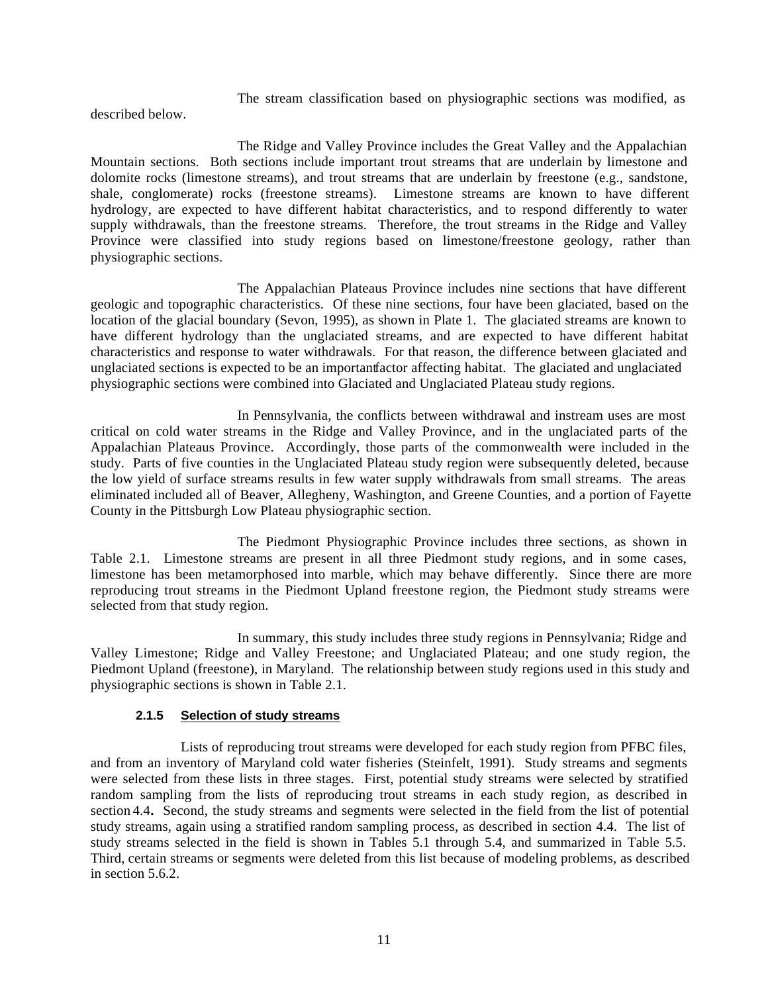The stream classification based on physiographic sections was modified, as

described below.

The Ridge and Valley Province includes the Great Valley and the Appalachian Mountain sections. Both sections include important trout streams that are underlain by limestone and dolomite rocks (limestone streams), and trout streams that are underlain by freestone (e.g., sandstone, shale, conglomerate) rocks (freestone streams). Limestone streams are known to have different hydrology, are expected to have different habitat characteristics, and to respond differently to water supply withdrawals, than the freestone streams. Therefore, the trout streams in the Ridge and Valley Province were classified into study regions based on limestone/freestone geology, rather than physiographic sections.

The Appalachian Plateaus Province includes nine sections that have different geologic and topographic characteristics. Of these nine sections, four have been glaciated, based on the location of the glacial boundary (Sevon, 1995), as shown in Plate 1. The glaciated streams are known to have different hydrology than the unglaciated streams, and are expected to have different habitat characteristics and response to water withdrawals. For that reason, the difference between glaciated and unglaciated sections is expected to be an important factor affecting habitat. The glaciated and unglaciated physiographic sections were combined into Glaciated and Unglaciated Plateau study regions.

In Pennsylvania, the conflicts between withdrawal and instream uses are most critical on cold water streams in the Ridge and Valley Province, and in the unglaciated parts of the Appalachian Plateaus Province. Accordingly, those parts of the commonwealth were included in the study. Parts of five counties in the Unglaciated Plateau study region were subsequently deleted, because the low yield of surface streams results in few water supply withdrawals from small streams. The areas eliminated included all of Beaver, Allegheny, Washington, and Greene Counties, and a portion of Fayette County in the Pittsburgh Low Plateau physiographic section.

The Piedmont Physiographic Province includes three sections, as shown in Table 2.1. Limestone streams are present in all three Piedmont study regions, and in some cases, limestone has been metamorphosed into marble, which may behave differently. Since there are more reproducing trout streams in the Piedmont Upland freestone region, the Piedmont study streams were selected from that study region.

In summary, this study includes three study regions in Pennsylvania; Ridge and Valley Limestone; Ridge and Valley Freestone; and Unglaciated Plateau; and one study region, the Piedmont Upland (freestone), in Maryland. The relationship between study regions used in this study and physiographic sections is shown in Table 2.1.

# **2.1.5 Selection of study streams**

Lists of reproducing trout streams were developed for each study region from PFBC files, and from an inventory of Maryland cold water fisheries (Steinfelt, 1991). Study streams and segments were selected from these lists in three stages. First, potential study streams were selected by stratified random sampling from the lists of reproducing trout streams in each study region, as described in section 4.4**.** Second, the study streams and segments were selected in the field from the list of potential study streams, again using a stratified random sampling process, as described in section 4.4. The list of study streams selected in the field is shown in Tables 5.1 through 5.4, and summarized in Table 5.5. Third, certain streams or segments were deleted from this list because of modeling problems, as described in section 5.6.2.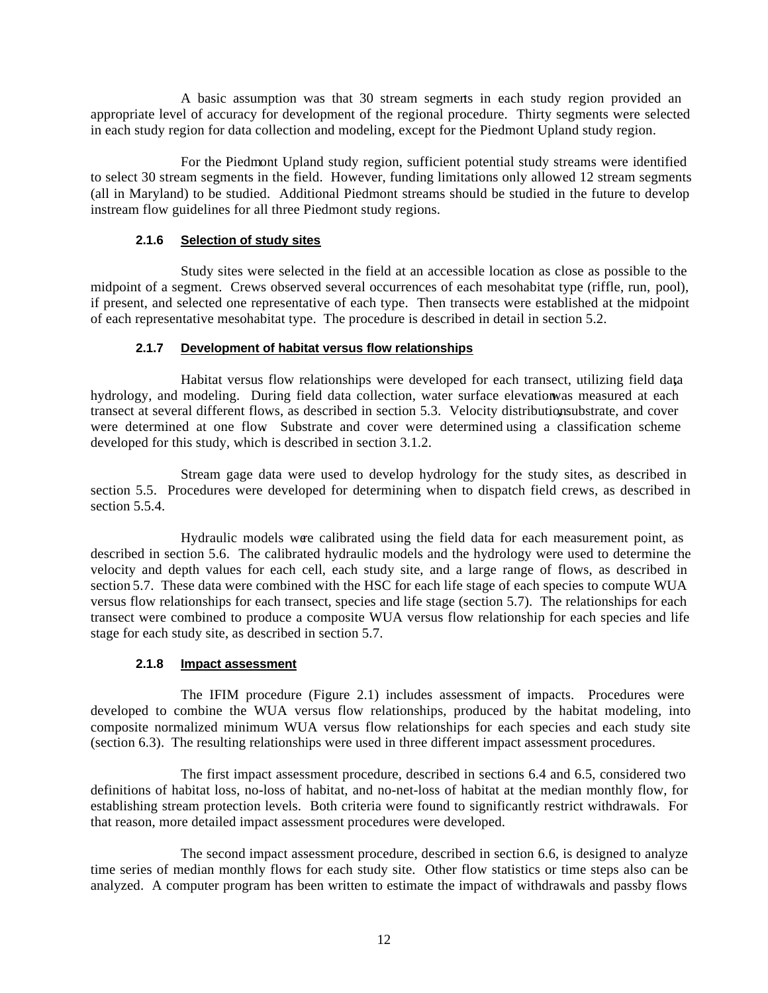A basic assumption was that 30 stream segments in each study region provided an appropriate level of accuracy for development of the regional procedure. Thirty segments were selected in each study region for data collection and modeling, except for the Piedmont Upland study region.

For the Piedmont Upland study region, sufficient potential study streams were identified to select 30 stream segments in the field. However, funding limitations only allowed 12 stream segments (all in Maryland) to be studied. Additional Piedmont streams should be studied in the future to develop instream flow guidelines for all three Piedmont study regions.

# **2.1.6 Selection of study sites**

Study sites were selected in the field at an accessible location as close as possible to the midpoint of a segment. Crews observed several occurrences of each mesohabitat type (riffle, run, pool), if present, and selected one representative of each type. Then transects were established at the midpoint of each representative mesohabitat type. The procedure is described in detail in section 5.2.

# **2.1.7 Development of habitat versus flow relationships**

Habitat versus flow relationships were developed for each transect, utilizing field dat**,**a hydrology, and modeling. During field data collection, water surface elevationwas measured at each transect at several different flows, as described in section 5.3. Velocity distributionsubstrate, and cover were determined at one flow**.** Substrate and cover were determined using a classification scheme developed for this study, which is described in section 3.1.2.

Stream gage data were used to develop hydrology for the study sites, as described in section 5.5. Procedures were developed for determining when to dispatch field crews, as described in section 5.5.4

Hydraulic models were calibrated using the field data for each measurement point, as described in section 5.6. The calibrated hydraulic models and the hydrology were used to determine the velocity and depth values for each cell, each study site, and a large range of flows, as described in section 5.7. These data were combined with the HSC for each life stage of each species to compute WUA versus flow relationships for each transect, species and life stage (section 5.7). The relationships for each transect were combined to produce a composite WUA versus flow relationship for each species and life stage for each study site, as described in section 5.7.

# **2.1.8 Impact assessment**

The IFIM procedure (Figure 2.1) includes assessment of impacts. Procedures were developed to combine the WUA versus flow relationships, produced by the habitat modeling, into composite normalized minimum WUA versus flow relationships for each species and each study site (section 6.3). The resulting relationships were used in three different impact assessment procedures.

The first impact assessment procedure, described in sections 6.4 and 6.5, considered two definitions of habitat loss, no-loss of habitat, and no-net-loss of habitat at the median monthly flow, for establishing stream protection levels. Both criteria were found to significantly restrict withdrawals. For that reason, more detailed impact assessment procedures were developed.

The second impact assessment procedure, described in section 6.6, is designed to analyze time series of median monthly flows for each study site. Other flow statistics or time steps also can be analyzed. A computer program has been written to estimate the impact of withdrawals and passby flows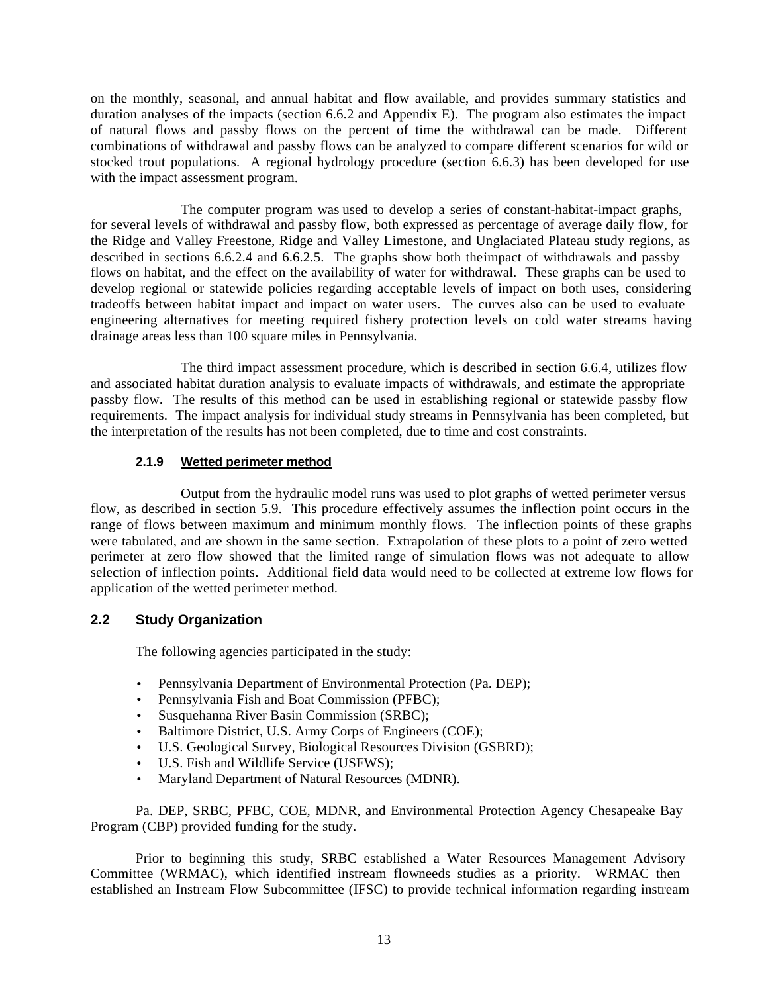on the monthly, seasonal, and annual habitat and flow available, and provides summary statistics and duration analyses of the impacts (section 6.6.2 and Appendix E). The program also estimates the impact of natural flows and passby flows on the percent of time the withdrawal can be made. Different combinations of withdrawal and passby flows can be analyzed to compare different scenarios for wild or stocked trout populations. A regional hydrology procedure (section 6.6.3) has been developed for use with the impact assessment program.

The computer program was used to develop a series of constant-habitat-impact graphs, for several levels of withdrawal and passby flow, both expressed as percentage of average daily flow, for the Ridge and Valley Freestone, Ridge and Valley Limestone, and Unglaciated Plateau study regions, as described in sections 6.6.2.4 and 6.6.2.5. The graphs show both theimpact of withdrawals and passby flows on habitat, and the effect on the availability of water for withdrawal. These graphs can be used to develop regional or statewide policies regarding acceptable levels of impact on both uses, considering tradeoffs between habitat impact and impact on water users. The curves also can be used to evaluate engineering alternatives for meeting required fishery protection levels on cold water streams having drainage areas less than 100 square miles in Pennsylvania.

The third impact assessment procedure, which is described in section 6.6.4, utilizes flow and associated habitat duration analysis to evaluate impacts of withdrawals, and estimate the appropriate passby flow. The results of this method can be used in establishing regional or statewide passby flow requirements. The impact analysis for individual study streams in Pennsylvania has been completed, but the interpretation of the results has not been completed, due to time and cost constraints.

# **2.1.9 Wetted perimeter method**

Output from the hydraulic model runs was used to plot graphs of wetted perimeter versus flow, as described in section 5.9. This procedure effectively assumes the inflection point occurs in the range of flows between maximum and minimum monthly flows. The inflection points of these graphs were tabulated, and are shown in the same section. Extrapolation of these plots to a point of zero wetted perimeter at zero flow showed that the limited range of simulation flows was not adequate to allow selection of inflection points. Additional field data would need to be collected at extreme low flows for application of the wetted perimeter method.

# **2.2 Study Organization**

The following agencies participated in the study:

- Pennsylvania Department of Environmental Protection (Pa. DEP);
- Pennsylvania Fish and Boat Commission (PFBC):
- Susquehanna River Basin Commission (SRBC);
- Baltimore District, U.S. Army Corps of Engineers (COE);
- U.S. Geological Survey, Biological Resources Division (GSBRD);
- U.S. Fish and Wildlife Service (USFWS);
- Maryland Department of Natural Resources (MDNR).

Pa. DEP, SRBC, PFBC, COE, MDNR, and Environmental Protection Agency Chesapeake Bay Program (CBP) provided funding for the study.

Prior to beginning this study, SRBC established a Water Resources Management Advisory Committee (WRMAC), which identified instream flowneeds studies as a priority. WRMAC then established an Instream Flow Subcommittee (IFSC) to provide technical information regarding instream